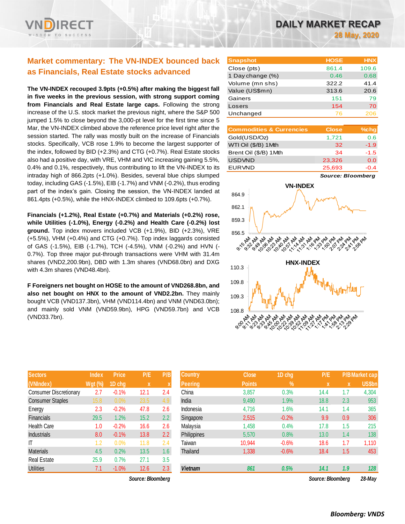## **Market commentary: The VN-INDEX bounced back as Financials, Real Estate stocks advanced**

**The VN-INDEX recouped 3.9pts (+0.5%) after making the biggest fall in five weeks in the previous session, with strong support coming from Financials and Real Estate large caps.** Following the strong increase of the U.S. stock market the previous night, where the S&P 500 jumped 1.5% to close beyond the 3,000-pt level for the first time since 5 Mar, the VN-INDEX climbed above the reference price level right after the session started. The rally was mostly built on the increase of Financials stocks. Specifically, VCB rose 1.9% to become the largest supporter of the index, followed by BID (+2.3%) and CTG (+0.7%). Real Estate stocks also had a positive day, with VRE, VHM and VIC increasing gaining 5.5%, 0.4% and 0.1%, respectively, thus contributing to lift the VN-INDEX to its intraday high of 866.2pts (+1.0%). Besides, several blue chips slumped today, including GAS (-1.5%), EIB (-1.7%) and VNM (-0.2%), thus eroding part of the index's gain. Closing the session, the VN-INDEX landed at 861.4pts (+0.5%), while the HNX-INDEX climbed to 109.6pts (+0.7%).

**Financials (+1.2%), Real Estate (+0.7%) and Materials (+0.2%) rose, while Utilities (-1.0%), Energy (-0.2%) and Health Care (-0.2%) lost ground.** Top index movers included VCB (+1.9%), BID (+2.3%), VRE (+5.5%), VHM (+0.4%) and CTG (+0.7%). Top index laggards consisted of GAS (-1.5%), EIB (-1.7%), TCH (-4.5%), VNM (-0.2%) and HVN (- 0.7%). Top three major put-through transactions were VHM with 31.4m shares (VND2,200.9bn), DBD with 1.3m shares (VND68.0bn) and DXG with 4.3m shares (VND48.4bn).

**F Foreigners net bought on HOSE to the amount of VND268.8bn, and also net bought on HNX to the amount of VND2.2bn.** They mainly bought VCB (VND137.3bn), VHM (VND114.4bn) and VNM (VND63.0bn); and mainly sold VNM (VND59.9bn), HPG (VND59.7bn) and VCB (VND33.7bn).

| <b>Sectors</b>                | <b>Index</b> | Price   | P/E  | P/B |
|-------------------------------|--------------|---------|------|-----|
| (VNIndex)                     | Wgt (%)      | 1D chg  | X    | X   |
| <b>Consumer Discretionary</b> | 2.7          | $-0.1%$ | 12.1 | 2.4 |
| <b>Consumer Staples</b>       | 15.8         | 0.0%    | 23.5 | 4.9 |
| Energy                        | 2.3          | $-0.2%$ | 47.8 | 2.6 |
| <b>Financials</b>             | 29.5         | 1.2%    | 15.2 | 2.2 |
| <b>Health Care</b>            | 1.0          | $-0.2%$ | 16.6 | 2.6 |
| <b>Industrials</b>            | 8.0          | $-0.1%$ | 13.8 | 2.2 |
| ıτ                            | 1.2          | 0.0%    | 11.8 | 2.4 |
| <b>Materials</b>              | 4.5          | 0.2%    | 13.5 | 1.6 |
| <b>Real Estate</b>            | 25.9         | 0.7%    | 27.1 | 3.5 |
| Utilities                     | 7.1          | $-1.0%$ | 12.6 | 2.3 |

*Source: Bloomberg Source: Bloomberg 28-May*

| <b>Snapshot</b>  | <b>HOSE</b> | <b>HNX</b> |
|------------------|-------------|------------|
| Close (pts)      | 861.4       | 109.6      |
| 1 Day change (%) | 0.46        | 0.68       |
| Volume (mn shs)  | 322.2       | 41.4       |
| Value (US\$mn)   | 313.6       | 20.6       |
| Gainers          | 151         | 79         |
| Losers           | 154         | 70         |
| Unchanged        | 76          | 206        |

| <b>Commodities &amp; Currencies</b> | <b>Close</b> | $%$ chg |
|-------------------------------------|--------------|---------|
| Gold(USD/Oz)                        | 1,721        | 0.6     |
| WTI Oil (\$/B) 1Mth                 | 32           | $-1.9$  |
| Brent Oil (\$/B) 1Mth               | 34           | $-1.5$  |
| <b>USDVND</b>                       | 23,326       | 0.0     |
| <b>EURVND</b>                       | 25,693       | -0.4    |

*Source: Bloomberg*



| <b>Sectors</b>                | <b>Index</b>   | <b>Price</b> | P/E               | P/B           | <b>Country</b> | <b>Close</b>  | 1D chg  | P/E               |             | <b>P/B Market cap</b> |
|-------------------------------|----------------|--------------|-------------------|---------------|----------------|---------------|---------|-------------------|-------------|-----------------------|
| (VNIndex)                     | <b>Wgt (%)</b> | 1D chg       | $\mathbf x$       |               | <b>Peering</b> | <b>Points</b> | $\%$    | x                 | $\mathbf x$ | <b>US\$bn</b>         |
| <b>Consumer Discretionary</b> | 2.7            | $-0.1%$      | 12.1              | 2.4           | China          | 3,857         | 0.3%    | 14.4              | 1.7         | 4,304                 |
| <b>Consumer Staples</b>       | 15.8           | 0.0%         | 23.5              | 4.9           | India          | 9,490         | 1.9%    | 18.8              | 2.3         | 953                   |
| Energy                        | 2.3            | $-0.2%$      | 47.8              | 2.6           | Indonesia      | 4,716         | 1.6%    | 14.1              | 1.4         | 365                   |
| Financials                    | 29.5           | 1.2%         | 15.2              | $2.2^{\circ}$ | Singapore      | 2,515         | $-0.2%$ | 9.9               | 0.9         | 306                   |
| Health Care                   | 1.0            | $-0.2%$      | 16.6              | 2.6           | Malaysia       | 1,458         | 0.4%    | 17.8              | 1.5         | 215                   |
| <b>Industrials</b>            | 8.0            | $-0.1%$      | 13.8              | 2.2           | Philippines    | 5.570         | 0.8%    | 13.0              | 1.4         | 138                   |
| ΙT                            | 1.2            | 0.0%         | 11.8              | 2.4           | Taiwan         | 10.944        | $-0.6%$ | 18.6              | 1.7         | 1,110                 |
| <b>Materials</b>              | 4.5            | 0.2%         | 13.5              | $1.6\,$       | Thailand       | 1,338         | $-0.6%$ | 18.4              | 1.5         | 453                   |
| Real Estate                   | 25.9           | 0.7%         | 27.1              | 3.5           |                |               |         |                   |             |                       |
| <b>Utilities</b>              | 7.1            | $-1.0%$      | 12.6              | 2.3           | <b>Vietnam</b> | 861           | 0.5%    | 14.1              | 1.9         | 128                   |
|                               |                |              | Source: Bloombarg |               |                |               |         | Source: Bloomberg |             | $98-M2V$              |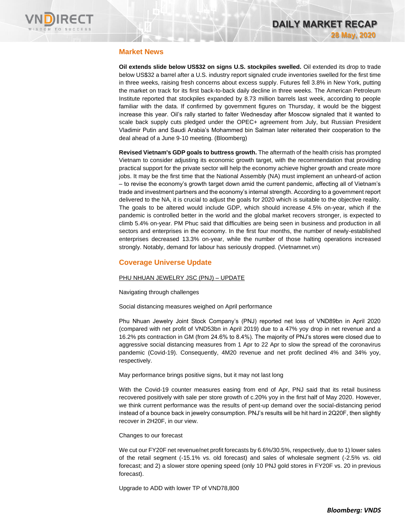

#### **Market News**

**Oil extends slide below US\$32 on signs U.S. stockpiles swelled.** Oil extended its drop to trade below US\$32 a barrel after a U.S. industry report signaled crude inventories swelled for the first time in three weeks, raising fresh concerns about excess supply. Futures fell 3.8% in New York, putting the market on track for its first back-to-back daily decline in three weeks. The American Petroleum Institute reported that stockpiles expanded by 8.73 million barrels last week, according to people familiar with the data. If confirmed by government figures on Thursday, it would be the biggest increase this year. Oil's rally started to falter Wednesday after Moscow signaled that it wanted to scale back supply cuts pledged under the OPEC+ agreement from July, but Russian President Vladimir Putin and Saudi Arabia's Mohammed bin Salman later reiterated their cooperation to the deal ahead of a June 9-10 meeting. (Bloomberg)

**Revised Vietnam's GDP goals to buttress growth.** The aftermath of the health crisis has prompted Vietnam to consider adjusting its economic growth target, with the recommendation that providing practical support for the private sector will help the economy achieve higher growth and create more jobs. It may be the first time that the National Assembly (NA) must implement an unheard-of action – to revise the economy's growth target down amid the current pandemic, affecting all of Vietnam's trade and investment partners and the economy's internal strength. According to a government report delivered to the NA, it is crucial to adjust the goals for 2020 which is suitable to the objective reality. The goals to be altered would include GDP, which should increase 4.5% on-year, which if the pandemic is controlled better in the world and the global market recovers stronger, is expected to climb 5.4% on-year. PM Phuc said that difficulties are being seen in business and production in all sectors and enterprises in the economy. In the first four months, the number of newly-established enterprises decreased 13.3% on-year, while the number of those halting operations increased strongly. Notably, demand for labour has seriously dropped. (Vietnamnet.vn)

## **Coverage Universe Update**

#### PHU NHUAN JEWELRY JSC (PNJ) – UPDATE

Navigating through challenges

Social distancing measures weighed on April performance

Phu Nhuan Jewelry Joint Stock Company's (PNJ) reported net loss of VND89bn in April 2020 (compared with net profit of VND53bn in April 2019) due to a 47% yoy drop in net revenue and a 16.2% pts contraction in GM (from 24.6% to 8.4%). The majority of PNJ's stores were closed due to aggressive social distancing measures from 1 Apr to 22 Apr to slow the spread of the coronavirus pandemic (Covid-19). Consequently, 4M20 revenue and net profit declined 4% and 34% yoy, respectively.

May performance brings positive signs, but it may not last long

With the Covid-19 counter measures easing from end of Apr, PNJ said that its retail business recovered positively with sale per store growth of c.20% yoy in the first half of May 2020. However, we think current performance was the results of pent-up demand over the social-distancing period instead of a bounce back in jewelry consumption. PNJ's results will be hit hard in 2Q20F, then slightly recover in 2H20F, in our view.

#### Changes to our forecast

We cut our FY20F net revenue/net profit forecasts by 6.6%/30.5%, respectively, due to 1) lower sales of the retail segment (-15.1% vs. old forecast) and sales of wholesale segment (-2.5% vs. old forecast; and 2) a slower store opening speed (only 10 PNJ gold stores in FY20F vs. 20 in previous forecast).

Upgrade to ADD with lower TP of VND78,800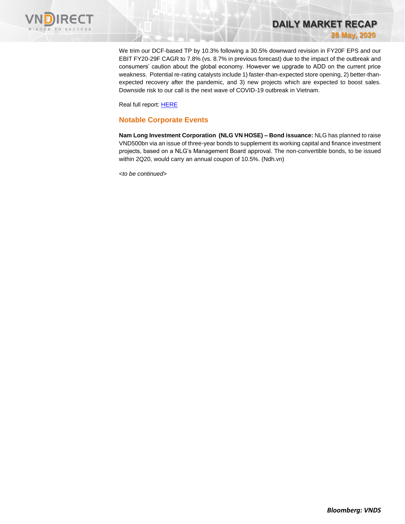

We trim our DCF-based TP by 10.3% following a 30.5% downward revision in FY20F EPS and our EBIT FY20-29F CAGR to 7.8% (vs. 8.7% in previous forecast) due to the impact of the outbreak and consumers' caution about the global economy. However we upgrade to ADD on the current price weakness. Potential re-rating catalysts include 1) faster-than-expected store opening, 2) better-thanexpected recovery after the pandemic, and 3) new projects which are expected to boost sales. Downside risk to our call is the next wave of COVID-19 outbreak in Vietnam.

**DAILY MARKET RECAP** 

**28 May, 2020**

Real full report[: HERE](https://static-02.vndirect.com.vn/uploads/prod/PNJ_Update_20200527.pdf)

#### **Notable Corporate Events**

**Nam Long Investment Corporation (NLG VN HOSE) – Bond issuance:** NLG has planned to raise VND500bn via an issue of three-year bonds to supplement its working capital and finance investment projects, based on a NLG's Management Board approval. The non-convertible bonds, to be issued within 2Q20, would carry an annual coupon of 10.5%. (Ndh.vn)

*<to be continued>*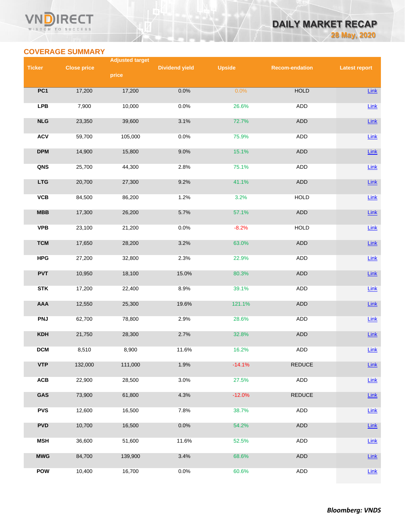#### **VN RECT** WISDOM TO SUCCESS

# **DAILY MARKET RECAP 28 May, 2020**

## **COVERAGE SUMMARY**

|               |                    | <b>Adjusted target</b> |                       |               |                       |                      |  |  |
|---------------|--------------------|------------------------|-----------------------|---------------|-----------------------|----------------------|--|--|
| <b>Ticker</b> | <b>Close price</b> | price                  | <b>Dividend yield</b> | <b>Upside</b> | <b>Recom-endation</b> | <b>Latest report</b> |  |  |
|               |                    |                        |                       |               |                       |                      |  |  |
| PC1           | 17,200             | 17,200                 | 0.0%                  | 0.0%          | <b>HOLD</b>           | Link                 |  |  |
| <b>LPB</b>    | 7,900              | 10,000                 | 0.0%                  | 26.6%         | ADD                   | $Link$               |  |  |
| NLG           | 23,350             | 39,600                 | 3.1%                  | 72.7%         | <b>ADD</b>            | Link                 |  |  |
| <b>ACV</b>    | 59,700             | 105,000                | 0.0%                  | 75.9%         | <b>ADD</b>            | Link                 |  |  |
| <b>DPM</b>    | 14,900             | 15,800                 | 9.0%                  | 15.1%         | <b>ADD</b>            | Link                 |  |  |
| QNS           | 25,700             | 44,300                 | 2.8%                  | 75.1%         | ADD                   | $Link$               |  |  |
| <b>LTG</b>    | 20,700             | 27,300                 | 9.2%                  | 41.1%         | ADD                   | Link                 |  |  |
| <b>VCB</b>    | 84,500             | 86,200                 | 1.2%                  | 3.2%          | <b>HOLD</b>           | $Link$               |  |  |
| MBB           | 17,300             | 26,200                 | 5.7%                  | 57.1%         | <b>ADD</b>            | Link                 |  |  |
| <b>VPB</b>    | 23,100             | 21,200                 | 0.0%                  | $-8.2%$       | <b>HOLD</b>           | Link                 |  |  |
| <b>TCM</b>    | 17,650             | 28,200                 | 3.2%                  | 63.0%         | <b>ADD</b>            | Link                 |  |  |
| <b>HPG</b>    | 27,200             | 32,800                 | 2.3%                  | 22.9%         | ADD                   | <b>Link</b>          |  |  |
| <b>PVT</b>    | 10,950             | 18,100                 | 15.0%                 | 80.3%         | ADD                   | Link                 |  |  |
| <b>STK</b>    | 17,200             | 22,400                 | 8.9%                  | 39.1%         | ADD                   | $Link$               |  |  |
| AAA           | 12,550             | 25,300                 | 19.6%                 | 121.1%        | ADD                   | <b>Link</b>          |  |  |
| <b>PNJ</b>    | 62,700             | 78,800                 | 2.9%                  | 28.6%         | <b>ADD</b>            | Link                 |  |  |
| <b>KDH</b>    | 21,750             | 28,300                 | 2.7%                  | 32.8%         | <b>ADD</b>            | <b>Link</b>          |  |  |
| <b>DCM</b>    | 8,510              | 8,900                  | 11.6%                 | 16.2%         | <b>ADD</b>            | Link                 |  |  |
| <b>VTP</b>    | 132,000            | 111,000                | 1.9%                  | $-14.1%$      | <b>REDUCE</b>         | Link                 |  |  |
| ACB           | 22,900             | 28,500                 | 3.0%                  | 27.5%         | ADD                   | <b>Link</b>          |  |  |
| GAS           | 73,900             | 61,800                 | 4.3%                  | $-12.0%$      | <b>REDUCE</b>         | <b>Link</b>          |  |  |
| <b>PVS</b>    | 12,600             | 16,500                 | 7.8%                  | 38.7%         | <b>ADD</b>            | Link                 |  |  |
| <b>PVD</b>    | 10,700             | 16,500                 | 0.0%                  | 54.2%         | ADD                   | Link                 |  |  |
| <b>MSH</b>    | 36,600             | 51,600                 | 11.6%                 | 52.5%         | <b>ADD</b>            | <b>Link</b>          |  |  |
| <b>MWG</b>    | 84,700             | 139,900                | 3.4%                  | 68.6%         | ADD                   | Link                 |  |  |
| POW           | 10,400             | 16,700                 | 0.0%                  | 60.6%         | ADD                   | $Link$               |  |  |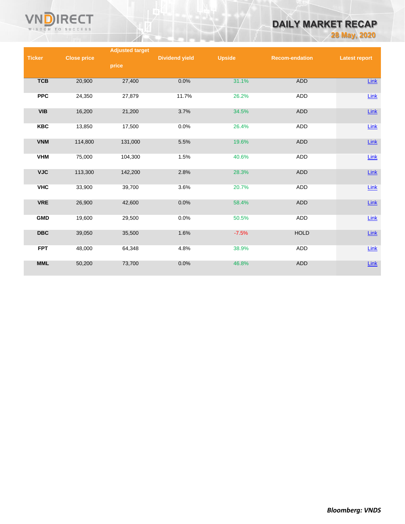

# **DAILY MARKET RECAP**

**28 May, 2020**

|               |                    | <b>Adjusted target</b> |                       |               |                       |                      |
|---------------|--------------------|------------------------|-----------------------|---------------|-----------------------|----------------------|
| <b>Ticker</b> | <b>Close price</b> |                        | <b>Dividend yield</b> | <b>Upside</b> | <b>Recom-endation</b> | <b>Latest report</b> |
|               |                    | price                  |                       |               |                       |                      |
|               |                    |                        |                       |               |                       |                      |
|               |                    |                        | 0.0%                  | 31.1%         | <b>ADD</b>            |                      |
| <b>TCB</b>    | 20,900             | 27,400                 |                       |               |                       | Link                 |
|               |                    |                        |                       |               |                       |                      |
| <b>PPC</b>    | 24,350             | 27,879                 | 11.7%                 | 26.2%         | ADD                   | Link                 |
|               |                    |                        |                       |               |                       |                      |
| <b>VIB</b>    | 16,200             | 21,200                 | 3.7%                  | 34.5%         | <b>ADD</b>            | $Link$               |
|               |                    |                        |                       |               |                       |                      |
| <b>KBC</b>    | 13,850             | 17,500                 | 0.0%                  | 26.4%         | ADD                   | Link                 |
|               |                    |                        |                       |               |                       |                      |
| <b>VNM</b>    | 114,800            | 131,000                | 5.5%                  | 19.6%         | <b>ADD</b>            | Link                 |
|               |                    |                        |                       |               |                       |                      |
|               |                    |                        |                       |               |                       |                      |
| <b>VHM</b>    | 75,000             | 104,300                | 1.5%                  | 40.6%         | ADD                   | Link                 |
|               |                    |                        |                       |               |                       |                      |
| <b>VJC</b>    | 113,300            | 142,200                | 2.8%                  | 28.3%         | <b>ADD</b>            | $Link$               |
|               |                    |                        |                       |               |                       |                      |
| <b>VHC</b>    | 33,900             | 39,700                 | 3.6%                  | 20.7%         | ADD                   | $Link$               |
|               |                    |                        |                       |               |                       |                      |
| <b>VRE</b>    | 26,900             | 42,600                 | 0.0%                  | 58.4%         | <b>ADD</b>            | Link                 |
|               |                    |                        |                       |               |                       |                      |
|               |                    |                        |                       |               |                       |                      |
| <b>GMD</b>    | 19,600             | 29,500                 | 0.0%                  | 50.5%         | ADD                   | Link                 |
|               |                    |                        |                       |               |                       |                      |
| <b>DBC</b>    | 39,050             | 35,500                 | 1.6%                  | $-7.5%$       | <b>HOLD</b>           | $Link$               |
|               |                    |                        |                       |               |                       |                      |
| <b>FPT</b>    | 48,000             | 64,348                 | 4.8%                  | 38.9%         | ADD                   | Link                 |
|               |                    |                        |                       |               |                       |                      |
| <b>MML</b>    | 50,200             | 73,700                 | 0.0%                  | 46.8%         | <b>ADD</b>            | Link                 |
|               |                    |                        |                       |               |                       |                      |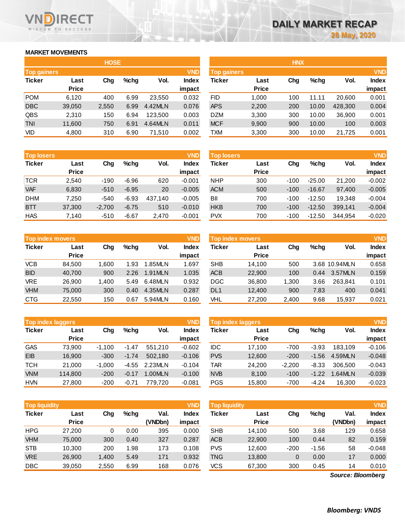## **MARKET MOVEMENTS**

WISDOM TO SUCCESS

ECT

|                    | <b>HOSE</b>  |       |      |         |              |  |  |  |  |  |  |
|--------------------|--------------|-------|------|---------|--------------|--|--|--|--|--|--|
| <b>Top gainers</b> |              |       |      |         | <b>VND</b>   |  |  |  |  |  |  |
| <b>Ticker</b>      | Last         | Cha   | %chq | Vol.    | <b>Index</b> |  |  |  |  |  |  |
|                    | <b>Price</b> |       |      |         | impact       |  |  |  |  |  |  |
| <b>POM</b>         | 6,120        | 400   | 6.99 | 23,550  | 0.032        |  |  |  |  |  |  |
| <b>DBC</b>         | 39,050       | 2,550 | 6.99 | 4.42MLN | 0.076        |  |  |  |  |  |  |
| QBS                | 2,310        | 150   | 6.94 | 123,500 | 0.003        |  |  |  |  |  |  |
| <b>TNI</b>         | 11,600       | 750   | 6.91 | 4.64MLN | 0.011        |  |  |  |  |  |  |
| VID                | 4,800        | 310   | 6.90 | 71,510  | 0.002        |  |  |  |  |  |  |

| <b>Top losers</b> |                      |          |         |         | <b>VND</b>      | <b>Top losers</b> |                      |        |          |         | <b>VND</b>      |  |
|-------------------|----------------------|----------|---------|---------|-----------------|-------------------|----------------------|--------|----------|---------|-----------------|--|
| <b>Ticker</b>     | Last<br><b>Price</b> | Chg      | $%$ chg | Vol.    | Index<br>impact | Ticker            | Last<br><b>Price</b> | Chg    | $%$ chg  | Vol.    | Index<br>impact |  |
| <b>TCR</b>        | 2,540                | $-190$   | $-6.96$ | 620     | $-0.001$        | <b>NHP</b>        | 300                  | $-100$ | $-25.00$ | 21,200  | $-0.002$        |  |
| <b>VAF</b>        | 6,830                | $-510$   | $-6.95$ | 20      | $-0.005$        | <b>ACM</b>        | 500                  | $-100$ | $-16.67$ | 97.400  | $-0.005$        |  |
| <b>DHM</b>        | 7.250                | $-540$   | $-6.93$ | 437.140 | $-0.005$        | BII               | 700                  | $-100$ | $-12.50$ | 19.348  | $-0.004$        |  |
| <b>BTT</b>        | 37,300               | $-2.700$ | $-6.75$ | 510     | $-0.010$        | <b>HKB</b>        | 700                  | $-100$ | $-12.50$ | 399.141 | $-0.004$        |  |
| <b>HAS</b>        | 7.140                | $-510$   | $-6.67$ | 2.470   | $-0.001$        | <b>PVX</b>        | 700                  | $-100$ | $-12.50$ | 344.954 | $-0.020$        |  |

|               | <b>Top index movers</b> |       |      |         |              |  |  |  |  |  |  |
|---------------|-------------------------|-------|------|---------|--------------|--|--|--|--|--|--|
| <b>Ticker</b> | Last                    | Cha   |      | Vol.    | <b>Index</b> |  |  |  |  |  |  |
|               | <b>Price</b>            |       |      |         | impact       |  |  |  |  |  |  |
| <b>VCB</b>    | 84,500                  | 1,600 | 1.93 | 1.85MLN | 1.697        |  |  |  |  |  |  |
| <b>BID</b>    | 40,700                  | 900   | 2.26 | 1.91MLN | 1.035        |  |  |  |  |  |  |
| <b>VRE</b>    | 26,900                  | 1,400 | 5.49 | 6.48MLN | 0.932        |  |  |  |  |  |  |
| <b>VHM</b>    | 75,000                  | 300   | 0.40 | 4.35MLN | 0.287        |  |  |  |  |  |  |
| <b>CTG</b>    | 22,550                  | 150   | 0.67 | 5.94MLN | 0.160        |  |  |  |  |  |  |

| <b>Top index laggers</b> |              |          |         |         |              |  |  |  |  |  |
|--------------------------|--------------|----------|---------|---------|--------------|--|--|--|--|--|
| <b>Ticker</b>            | Last         | Cha      | %chq    | Vol.    | <b>Index</b> |  |  |  |  |  |
|                          | <b>Price</b> |          |         |         | impact       |  |  |  |  |  |
| <b>GAS</b>               | 73,900       | $-1,100$ | $-1.47$ | 551,210 | $-0.602$     |  |  |  |  |  |
| EIB                      | 16,900       | $-300$   | $-1.74$ | 502,180 | $-0.106$     |  |  |  |  |  |
| <b>TCH</b>               | 21,000       | $-1,000$ | $-4.55$ | 2.23MLN | $-0.104$     |  |  |  |  |  |
| <b>VNM</b>               | 114,800      | $-200$   | $-0.17$ | 1.00MLN | $-0.100$     |  |  |  |  |  |
| <b>HVN</b>               | 27,800       | $-200$   | $-0.71$ | 779.720 | $-0.081$     |  |  |  |  |  |

|               | <b>VND</b><br><b>Top liquidity</b> |       |      |                 |                 |            | <b>VND</b><br><b>Top liquidity</b> |        |         |                   |                        |  |
|---------------|------------------------------------|-------|------|-----------------|-----------------|------------|------------------------------------|--------|---------|-------------------|------------------------|--|
| <b>Ticker</b> | Last<br><b>Price</b>               | Chg   | %chg | Val.<br>(VNDbn) | Index<br>impact | Ticker     | Last<br><b>Price</b>               | Chg    | $%$ chg | Val.<br>(VNDbn)   | <b>Index</b><br>impact |  |
| <b>HPG</b>    | 27,200                             | 0     | 0.00 | 395             | 0.000           | <b>SHB</b> | 14.100                             | 500    | 3.68    | 129               | 0.658                  |  |
| <b>VHM</b>    | 75,000                             | 300   | 0.40 | 327             | 0.287           | <b>ACB</b> | 22,900                             | 100    | 0.44    | 82                | 0.159                  |  |
| <b>STB</b>    | 10.300                             | 200   | 1.98 | 173             | 0.108           | <b>PVS</b> | 12,600                             | $-200$ | $-1.56$ | 58                | $-0.048$               |  |
| <b>VRE</b>    | 26,900                             | 1,400 | 5.49 | 171             | 0.932           | TNG        | 13,800                             | 0      | 0.00    | 17                | 0.000                  |  |
| <b>DBC</b>    | 39,050                             | 2,550 | 6.99 | 168             | 0.076           | VCS.       | 67,300                             | 300    | 0.45    | 14                | 0.010                  |  |
|               |                                    |       |      |                 |                 |            |                                    |        |         | Source: Bloomberg |                        |  |

*Source: Bloomberg*

|                    |              | <b>HOSE</b> |      |         |              | <b>HNX</b>         |              |     |         |         |              |
|--------------------|--------------|-------------|------|---------|--------------|--------------------|--------------|-----|---------|---------|--------------|
| <b>Top gainers</b> |              |             |      |         | <b>VND</b>   | <b>Top gainers</b> |              |     |         |         | <b>VND</b>   |
| Ticker             | Last         | Chg         | %chq | Vol.    | <b>Index</b> | Ticker             | Last         | Chg | $%$ chg | Vol.    | <b>Index</b> |
|                    | <b>Price</b> |             |      |         | impact       |                    | <b>Price</b> |     |         |         | impact       |
| POM                | 6,120        | 400         | 6.99 | 23.550  | 0.032        | FID                | 1,000        | 100 | 11.11   | 20.600  | 0.001        |
| <b>DBC</b>         | 39,050       | 2,550       | 6.99 | 4.42MLN | 0.076        | <b>APS</b>         | 2,200        | 200 | 10.00   | 428,300 | 0.004        |
| QBS                | 2,310        | 150         | 6.94 | 123.500 | 0.003        | <b>DZM</b>         | 3,300        | 300 | 10.00   | 36,900  | 0.001        |
| TNI                | 11,600       | 750         | 6.91 | 4.64MLN | 0.011        | <b>MCF</b>         | 9,900        | 900 | 10.00   | 100     | 0.003        |
| Vid                | 4,800        | 310         | 6.90 | 71,510  | 0.002        | TXM                | 3,300        | 300 | 10.00   | 21,725  | 0.001        |
|                    |              |             |      |         |              |                    |              |     |         |         |              |

| <b>Top losers</b> |              |          |         |         | <b>VND</b>   | <b>Top losers</b> |              |        |          |         | <b>VND</b>   |
|-------------------|--------------|----------|---------|---------|--------------|-------------------|--------------|--------|----------|---------|--------------|
| Ticker            | Last         | Chg      | $%$ chq | Vol.    | <b>Index</b> | Ticker            | Last         | Chg    | $%$ chg  | Vol.    | <b>Index</b> |
|                   | <b>Price</b> |          |         |         | impact       |                   | <b>Price</b> |        |          |         | impact       |
| TCR               | 2.540        | $-190$   | $-6.96$ | 620     | $-0.001$     | <b>NHP</b>        | 300          | $-100$ | $-25.00$ | 21.200  | $-0.002$     |
| <b>VAF</b>        | 6,830        | $-510$   | $-6.95$ | 20      | $-0.005$     | <b>ACM</b>        | 500          | $-100$ | $-16.67$ | 97.400  | $-0.005$     |
| <b>DHM</b>        | 7.250        | $-540$   | $-6.93$ | 437.140 | $-0.005$     | BII               | 700          | $-100$ | $-12.50$ | 19.348  | $-0.004$     |
| BTT               | 37,300       | $-2.700$ | $-6.75$ | 510     | $-0.010$     | <b>HKB</b>        | 700          | $-100$ | $-12.50$ | 399.141 | $-0.004$     |
| HAS               | 7,140        | $-510$   | $-6.67$ | 2,470   | $-0.001$     | <b>PVX</b>        | 700          | $-100$ | $-12.50$ | 344.954 | $-0.020$     |

|            | Top index movers     |       |      |         |                        |                 | Top index movers     |       |      |               |                        |  |  |
|------------|----------------------|-------|------|---------|------------------------|-----------------|----------------------|-------|------|---------------|------------------------|--|--|
| Ticker     | Last<br><b>Price</b> | Chg   | %chq | Vol.    | <b>Index</b><br>impact | Ticker          | Last<br><b>Price</b> | Chg   | %chq | Vol.          | <b>Index</b><br>impact |  |  |
| VCB        | 84.500               | 1.600 | 1.93 | 1.85MLN | 1.697                  | <b>SHB</b>      | 14.100               | 500   |      | 3.68 10.94MLN | 0.658                  |  |  |
| <b>BID</b> | 40.700               | 900   | 2.26 | 1.91MLN | 1.035                  | <b>ACB</b>      | 22,900               | 100   | 0.44 | 3.57MLN       | 0.159                  |  |  |
| VRE        | 26.900               | 1.400 | 5.49 | 6.48MLN | 0.932                  | DGC             | 36,800               | 1.300 | 3.66 | 263.841       | 0.101                  |  |  |
| <b>VHM</b> | 75,000               | 300   | 0.40 | 4.35MLN | 0.287                  | DL <sub>1</sub> | 12,400               | 900   | 7.83 | 400           | 0.041                  |  |  |
| CTG        | 22,550               | 150   | 0.67 | 5.94MLN | 0.160                  | VHL             | 27,200               | 2,400 | 9.68 | 15.937        | 0.021                  |  |  |

| <b>Top index laggers</b> |              |          |         |         |          | <b>VND</b><br>Top index laggers |              |          |         |         |              |
|--------------------------|--------------|----------|---------|---------|----------|---------------------------------|--------------|----------|---------|---------|--------------|
| Ticker                   | Last         | Chg      | $%$ chg | Vol.    | Index    | Ticker                          | Last         | Chg      | $%$ chg | Vol.    | <b>Index</b> |
|                          | <b>Price</b> |          |         |         | impact   |                                 | <b>Price</b> |          |         |         | impact       |
| GAS                      | 73.900       | $-1.100$ | $-1.47$ | 551.210 | $-0.602$ | <b>IDC</b>                      | 17.100       | $-700$   | $-3.93$ | 183.109 | $-0.106$     |
| EIB                      | 16.900       | $-300$   | $-1.74$ | 502.180 | $-0.106$ | <b>PVS</b>                      | 12,600       | $-200$   | $-1.56$ | 4.59MLN | $-0.048$     |
| тсн                      | 21,000       | $-1.000$ | -4.55   | 2.23MLN | $-0.104$ | TAR                             | 24,200       | $-2.200$ | $-8.33$ | 306,500 | $-0.043$     |
| <b>VNM</b>               | 114,800      | $-200$   | $-0.17$ | 1.00MLN | $-0.100$ | <b>NVB</b>                      | 8,100        | $-100$   | $-1.22$ | 1.64MLN | $-0.039$     |
| <b>HVN</b>               | 27,800       | $-200$   | $-0.71$ | 779.720 | $-0.081$ | <b>PGS</b>                      | 15,800       | $-700$   | $-4.24$ | 16.300  | $-0.023$     |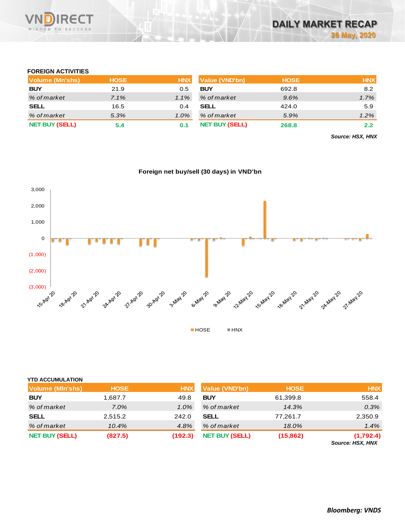

#### **FOREIGN ACTIVITIES**

| Volume (Mn'shs)       | <b>HOSE</b> | <b>HNX</b> | Value (VND'bn)        | <b>HOSE</b> | <b>HNX</b> |
|-----------------------|-------------|------------|-----------------------|-------------|------------|
| <b>BUY</b>            | 21.9        | 0.5        | <b>BUY</b>            | 692.8       | 8.2        |
| % of market           | 7.1%        | $1.1\%$    | % of market           | 9.6%        | 1.7%       |
| <b>SELL</b>           | 16.5        | 0.4        | <b>SELL</b>           | 424.0       | 5.9        |
| % of market           | 5.3%        | $1.0\%$    | % of market           | 5.9%        | 1.2%       |
| <b>NET BUY (SELL)</b> | 5.4         | 0.1        | <b>NET BUY (SELL)</b> | 268.8       | 2.2        |

*Source: HSX, HNX*

### **Foreign net buy/sell (30 days) in VND'bn**



### **YTD ACCUMULATION**

| <b>Volume (MIn'shs)</b> | <b>HOSE</b> | <b>HNX</b> | <b>Value (VND'bn)</b> | <b>HOSE</b> | <b>HNX</b>                    |
|-------------------------|-------------|------------|-----------------------|-------------|-------------------------------|
| <b>BUY</b>              | 1,687.7     | 49.8       | <b>BUY</b>            | 61,399.8    | 558.4                         |
| % of market             | $7.0\%$     | 1.0%       | % of market           | 14.3%       | 0.3%                          |
| <b>SELL</b>             | 2,515.2     | 242.0      | <b>SELL</b>           | 77,261.7    | 2,350.9                       |
| % of market             | 10.4%       | 4.8%       | % of market           | 18.0%       | 1.4%                          |
| <b>NET BUY (SELL)</b>   | (827.5)     | (192.3)    | <b>NET BUY (SELL)</b> | (15, 862)   | (1,792.4)<br>Source: HSX, HNX |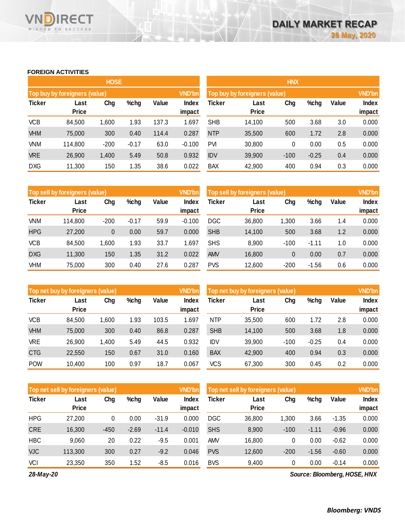#### **FOREIGN ACTIVITIES**

WISDOM TO SUCCESS

**RECT** 

VND

|               |                               | <b>HOSE</b> |         |       |                 | <b>HNX</b>                    |                      |               |         |       |                        |  |
|---------------|-------------------------------|-------------|---------|-------|-----------------|-------------------------------|----------------------|---------------|---------|-------|------------------------|--|
|               | Top buy by foreigners (value) |             |         |       | <b>VND'bn</b>   | Top buy by foreigners (value) |                      | <b>VND'bn</b> |         |       |                        |  |
| <b>Ticker</b> | Last<br><b>Price</b>          | Chg         | %chg    | Value | Index<br>impact | Ticker                        | Last<br><b>Price</b> | Chg           | %chg    | Value | <b>Index</b><br>impact |  |
| <b>VCB</b>    | 84,500                        | 1,600       | 1.93    | 137.3 | 1.697           | <b>SHB</b>                    | 14,100               | 500           | 3.68    | 3.0   | 0.000                  |  |
| <b>VHM</b>    | 75,000                        | 300         | 0.40    | 114.4 | 0.287           | <b>NTP</b>                    | 35,500               | 600           | 1.72    | 2.8   | 0.000                  |  |
| <b>VNM</b>    | 114,800                       | $-200$      | $-0.17$ | 63.0  | $-0.100$        | <b>PVI</b>                    | 30,800               | 0             | 0.00    | 0.5   | 0.000                  |  |
| <b>VRE</b>    | 26,900                        | 1,400       | 5.49    | 50.8  | 0.932           | <b>IDV</b>                    | 39,900               | $-100$        | $-0.25$ | 0.4   | 0.000                  |  |
| <b>DXG</b>    | 11,300                        | 150         | 1.35    | 38.6  | 0.022           | <b>BAX</b>                    | 42,900               | 400           | 0.94    | 0.3   | 0.000                  |  |

|               | Top sell by foreigners (value) |        |         |       | <b>VND'bn</b> | Top sell by foreigners (value) |              | <b>VND'bn</b> |         |       |              |
|---------------|--------------------------------|--------|---------|-------|---------------|--------------------------------|--------------|---------------|---------|-------|--------------|
| <b>Ticker</b> | Last                           | Chg    | %chg    | Value | Index         | Ticker                         | Last         | Chg           | %chg    | Value | <b>Index</b> |
|               | <b>Price</b>                   |        |         |       | impact        |                                | <b>Price</b> |               |         |       | impact       |
| VNM           | 114,800                        | $-200$ | $-0.17$ | 59.9  | $-0.100$      | <b>DGC</b>                     | 36,800       | 1.300         | 3.66    | 1.4   | 0.000        |
| <b>HPG</b>    | 27,200                         | 0      | 0.00    | 59.7  | 0.000         | <b>SHB</b>                     | 14,100       | 500           | 3.68    | 1.2   | 0.000        |
| <b>VCB</b>    | 84,500                         | 1,600  | 1.93    | 33.7  | .697          | <b>SHS</b>                     | 8,900        | $-100$        | $-1.11$ | 1.0   | 0.000        |
| <b>DXG</b>    | 11,300                         | 150    | 1.35    | 31.2  | 0.022         | <b>AMV</b>                     | 16,800       | 0             | 0.00    | 0.7   | 0.000        |
| VHM           | 75,000                         | 300    | 0.40    | 27.6  | 0.287         | <b>PVS</b>                     | 12,600       | $-200$        | $-1.56$ | 0.6   | 0.000        |

|               | Top net buy by foreigners (value) |       |      |       | <b>VND'bn</b> | Top net buy by foreigners (value) |              | <b>VND'bn</b> |         |       |              |
|---------------|-----------------------------------|-------|------|-------|---------------|-----------------------------------|--------------|---------------|---------|-------|--------------|
| <b>Ticker</b> | Last                              | Chg   | %chg | Value | Index         | Ticker                            | Last         | Chg           | %chg    | Value | <b>Index</b> |
|               | <b>Price</b>                      |       |      |       | impact        |                                   | <b>Price</b> |               |         |       | impact       |
| <b>VCB</b>    | 84.500                            | 1,600 | 1.93 | 103.5 | .697          | <b>NTP</b>                        | 35,500       | 600           | 1.72    | 2.8   | 0.000        |
| <b>VHM</b>    | 75,000                            | 300   | 0.40 | 86.8  | 0.287         | <b>SHB</b>                        | 14,100       | 500           | 3.68    | 1.8   | 0.000        |
| VRE           | 26,900                            | 1,400 | 5.49 | 44.5  | 0.932         | <b>IDV</b>                        | 39,900       | $-100$        | $-0.25$ | 0.4   | 0.000        |
| <b>CTG</b>    | 22,550                            | 150   | 0.67 | 31.0  | 0.160         | <b>BAX</b>                        | 42,900       | 400           | 0.94    | 0.3   | 0.000        |
| <b>POW</b>    | 10,400                            | 100   | 0.97 | 18.7  | 0.067         | VCS                               | 67,300       | 300           | 0.45    | 0.2   | 0.000        |

|               | Top net sell by foreigners (value) |        |         |         | VND'bn          | Top net sell by foreigners (value) |                      | <b>VND'bn</b> |         |         |                        |
|---------------|------------------------------------|--------|---------|---------|-----------------|------------------------------------|----------------------|---------------|---------|---------|------------------------|
| <b>Ticker</b> | Last<br><b>Price</b>               | Chg    | %chg    | Value   | Index<br>impact | Ticker                             | Last<br><b>Price</b> | Chg           | %chg    | Value   | <b>Index</b><br>impact |
| <b>HPG</b>    | 27,200                             | 0      | 0.00    | $-31.9$ | 0.000           | <b>DGC</b>                         | 36,800               | 1,300         | 3.66    | $-1.35$ | 0.000                  |
| <b>CRE</b>    | 16,300                             | $-450$ | $-2.69$ | $-11.4$ | $-0.010$        | <b>SHS</b>                         | 8,900                | $-100$        | $-1.11$ | $-0.96$ | 0.000                  |
| <b>HBC</b>    | 9,060                              | 20     | 0.22    | $-9.5$  | 0.001           | <b>AMV</b>                         | 16,800               | 0             | 0.00    | $-0.62$ | 0.000                  |
| <b>VJC</b>    | 113,300                            | 300    | 0.27    | $-9.2$  | 0.046           | <b>PVS</b>                         | 12,600               | $-200$        | $-1.56$ | $-0.60$ | 0.000                  |
| VCI           | 23,350                             | 350    | 1.52    | $-8.5$  | 0.016           | <b>BVS</b>                         | 9,400                | 0             | 0.00    | $-0.14$ | 0.000                  |

*28-May-20*

*Source: Bloomberg, HOSE, HNX*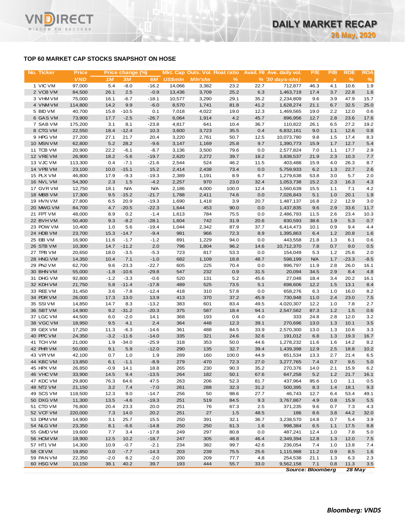## **TOP 60 MARKET CAP STOCKS SNAPSHOT ON HOSE**

| No. Ticker             | <b>Price</b>      |              | Price change (%)  |                    |                |                | Mkt. Cap Outs. Vol. Float ratio |              | Avail. Fil Ave. daily vol. | P/E            | P/B          | <b>ROE</b>   | ROA           |
|------------------------|-------------------|--------------|-------------------|--------------------|----------------|----------------|---------------------------------|--------------|----------------------------|----------------|--------------|--------------|---------------|
|                        | <b>VND</b>        | 1M           | 3M                | 6M                 | <b>US\$mln</b> | <b>MIn'shs</b> | %                               |              | $% (30 days-shs)$          | $\pmb{\times}$ | $\pmb{\chi}$ | $\%$         | $\frac{9}{6}$ |
| 1 VIC VM               | 97,000            | 5.4          | $-8.0$            | $-16.2$            | 14,066         | 3,382          | 23.2                            | 22.7         | 712,877                    | 46.3           | 4.1          | 10.6         | 1.9           |
| 2 VCB VM               | 84,500            | 26.1         | 2.5               | $-0.9$             | 13,436         | 3,709          | 25.2                            | 6.3          | 1,463,719                  | 17.4           | 3.7          | 22.8         | 1.6           |
| 3 VHM VM               | 75,000            | 16.1         | $-6.7$            | $-18.1$            | 10,577         | 3,290          | 29.1                            | 35.2         | 2,234,809                  | 9.6            | 3.9          | 47.9         | 15.7          |
| 4 VNM VM               | 114,800           | 14.2         | 9.9               | $-6.0$             | 8,570          | 1,741          | 81.8                            | 41.2         | 1,628,274                  | 21.1           | 6.7          | 32.5         | 25.0          |
| 5 BID VM               | 40,700            | 15.8         | $-10.5$           | 0.1                | 7,018          | 4,022          | 19.0                            | 12.3         | 1,469,565                  | 19.0           | 2.2          | 12.0         | 0.6           |
| 6 GAS VM<br>7 SAB VM   | 73,900<br>175,200 | 17.7<br>3.1  | $-2.5$<br>8.1     | $-26.7$<br>$-23.8$ | 6,064<br>4,817 | 1,914<br>641   | 4.2<br>10.4                     | 45.7<br>36.7 | 896,956<br>110,822         | 12.7<br>26.1   | 2.8<br>6.5   | 23.6<br>27.2 | 17.6<br>19.2  |
| 8 CTG VM               | 22,550            | 18.4         | $-12.4$           | 10.3               | 3,600          | 3,723          | 35.5                            | 0.4          | 6,832,161                  | 9.0            | 1.1          | 12.6         | 0.8           |
| 9 HPG VM               | 27,200            | 27.1         | 21.7              | 20.4               | 3,220          | 2,761          | 50.7                            | 12.5         | 10,073,780                 | 9.8            | 1.5          | 17.4         | 8.3           |
| 10 MSN VM              | 62,800            | 5.2          | 28.2              | $-9.6$             | 3,147          | 1,169          | 25.8                            | 9.7          | 1,390,773                  | 15.9           | 1.7          | 12.7         | 5.4           |
| 11 TCB VM              | 20,900            | 22.2         | $-6.1$            | $-8.7$             | 3,136          | 3,500          | 79.6                            | 0.0          | 2,577,824                  | 7.0            | 1.1          | 17.7         | 2.9           |
| 12 VREVM               | 26,900            | 18.2         | $-5.6$            | $-19.7$            | 2,620          | 2,272          | 39.7                            | 18.2         | 3,838,537                  | 21.9           | 2.3          | 10.3         | 7.7           |
| 13 VJC VM              | 113,300           | 0.4          | $-7.1$            | $-21.6$            | 2,544          | 524            | 46.2                            | 11.5         | 403,488                    | 15.9           | 4.0          | 26.3         | 8.7           |
| 14 VPB VM              | 23,100            | 10.0         | $-15.1$           | 15.2               | 2,414          | 2,438          | 73.4                            | 0.0          | 5,759,933                  | 6.2            | 1.3          | 22.7         | 2.6           |
| 15 PLX VM              | 46,800            | 17.9         | $-9.3$            | $-19.3$            | 2,389          | 1,191          | 8.9                             | 6.7          | 1,279,638                  | 53.8           | 3.0          | 5.7          | 2.0           |
| 16 NVL VM              | 54,300            | 2.3          | 1.5               | $-4.2$             | 2,257          | 970            | 23.0                            | 32.4         | 1,053,738                  | 15.2           | 2.3          | 16.3         | 4.3           |
| 17 GVR VM              | 12,750            | 18.1         | N/A               | <b>N/A</b>         | 2,186          | 4,000          | 100.0                           | 12.4         | 1,560,639                  | 15.5           | 1.1          | 7.1          | 4.2           |
| 18 MBB VM              | 17,300            | 9.5          | $-15.2$           | $-21.7$            | 1,788          | 2,411          | 74.6                            | 0.0          | 7,026,843                  | 5.1            | 1.0          | 20.1         | 1.9           |
| 19 HVN VM              | 27,800            | 6.5          | 20.9              | $-19.3$            | 1,690          | 1,418          | 3.9                             | 20.7         | 1,487,137                  | 16.8           | 2.2          | 12.9         | 3.0           |
| 20 MWG VM              | 84,700            | 4.7          | $-20.5$           | $-22.3$            | 1,644          | 453            | 90.0                            | 0.0          | 1,437,835                  | 9.6            | 2.9          | 33.6         | 11.7          |
| 21 FPT VM              | 48,000            | 8.9          | 0.2               | $-1.4$             | 1,613          | 784            | 75.5                            | 0.0          | 2,486,793                  | 11.5           | 2.6          | 23.4         | 10.3          |
| 22 BVHVM               | 50,400            | 9.3          | $-8.2$            | $-28.1$            | 1,604          | 742            | 31.9                            | 20.6         | 830,593                    | 38.6           | 1.9          | 5.3          | 0.7           |
| 23 POW VM              | 10,400            | 1.0          | 5.6               | $-19.4$            | 1,044          | 2,342          | 87.9                            | 37.7         | 6,414,473                  | 10.1           | 0.9          | 9.4          | 4.4           |
| 24 HDB VM<br>25 EIB VM | 23,700<br>16,900  | 15.3<br>11.6 | $-14.7$<br>$-1.7$ | $-9.4$<br>$-1.2$   | 981<br>891     | 966<br>1,229   | 72.3<br>94.0                    | 8.9<br>0.0   | 1,395,863                  | 6.4            | 1.2<br>1.3   | 20.8<br>6.1  | 1.6<br>0.6    |
| 26 STB VM              | 10,300            | 14.7         | $-11.2$           | 2.0                | 796            | 1,804          | 96.2                            | 14.6         | 443,558<br>10,712,370      | 21.8<br>7.8    | 0.7          | 9.0          | 0.5           |
| 27 TPB VM              | 20,650            | 18.0         | $-3.5$            | $-5.3$             | 723            | 817            | 53.3                            | 0.0          | 154,049                    | 5.3            | 1.2          | 25.6         | 2.0           |
| 28 HNG VM              | 14,350            | 10.4         | 7.1               | $-1.0$             | 682            | 1,109          | 18.8                            | 48.7         | 598,199                    | <b>N/A</b>     | 1.7          | $-23.3$      | $-8.5$        |
| 29 PNJ VM              | 62,700            | 9.6          | $-23.3$           | $-22.7$            | 605            | 225            | 70.4                            | 0.0          | 996,797                    | 11.9           | 2.8          | 26.0         | 16.1          |
| 30 BHN VM              | 55,000            | $-1.8$       | $-10.6$           | $-29.8$            | 547            | 232            | 0.9                             | 31.5         | 20,094                     | 34.5           | 2.9          | 8.4          | 4.8           |
| 31 DHG VM              | 92,800            | $-1.2$       | $-3.3$            | $-0.6$             | 520            | 131            | 5.2                             | 45.6         | 27,048                     | 18.4           | 3.4          | 20.2         | 16.1          |
| 32 KDH VM              | 21,750            | 5.8          | $-11.4$           | $-17.8$            | 489            | 525            | 73.5                            | 5.1          | 698,606                    | 12.2           | 1.5          | 13.1         | 8.4           |
| 33 REE VM              | 31,450            | 3.6          | $-7.8$            | $-12.4$            | 418            | 310            | 57.8                            | 0.0          | 658,276                    | 6.3            | 1.0          | 16.0         | 8.2           |
| 34 PDR VM              | 26,000            | 17.3         | 13.0              | 13.9               | 413            | 370            | 37.2                            | 45.9         | 730,948                    | 11.0           | 2.4          | 23.0         | 7.5           |
| 35 SSI VM              | 14,850            | 14.7         | 8.3               | $-13.2$            | 383            | 601            | 83.4                            | 49.5         | 4,020,307                  | 12.2           | 1.0          | 7.8          | 2.7           |
| 36 SBT VM              | 14,900            | 9.2          | $-31.2$           | $-20.3$            | 375            | 587            | 18.4                            | 94.1         | 2,547,562                  | 87.3           | 1.2          | 1.5          | 0.6           |
| 37 LGC VM              | 44,500            | 6.0          | $-2.0$            | 14.1               | 368            | 193            | 0.6                             | 4.0          | 333                        | 24.8           | 2.8          | 12.0         | 3.2           |
| 38 VGC VM              | 18,950            | 9.5          | 4.1               | 2.4                | 364            | 448            | 12.3                            | 39.1         | 270,696                    | 13.0           | 1.3          | 10.1         | 3.5           |
| 39 GEX VM              | 17,250            | 11.3         | $-6.3$            | $-14.6$            | 361            | 488            | 84.5                            | 33.9         | 2,570,300                  | 13.0           | 1.3          | 10.6         | 3.3           |
| 40 PPC VM              | 24,350            | $-3.2$       | $-11.6$           | $-14.0$            | 335            | 321            | 24.6                            | 32.6         | 191,012                    | 6.8            | 1.3          | 19.3         | 16.7          |
| 41 TCH VM              | 21,000            | 1.9          | $-34.0$           | $-25.9$            | 318            | 353            | 50.0                            | 44.6         | 1,278,232                  | 11.6           | 1.6          | 14.2         | 8.2           |
| 42 PHR VM<br>43 VPIVM  | 50,000<br>42,100  | 9.1<br>0.7   | 5.9<br>1.0        | $-12.0$<br>1.9     | 290<br>289     | 135<br>160     | 32.7<br>100.0                   | 39.4<br>44.9 | 1,439,398<br>651,534       | 12.9           | 2.5<br>2.7   | 18.8<br>21.4 | 10.2<br>6.5   |
| 44 KBC VM              | 13,850            | 6.1          | $-1.1$            | $-8.9$             | 279            | 470            | 72.3                            | 27.0         | 3,277,765                  | 13.3<br>7.4    | 0.7          | 9.5          | 5.0           |
| 45 HPX VM              | 26,850            | $-0.9$       | 14.1              | 18.8               | 265            | 230            | 90.3                            | 35.2         | 270,376                    | 14.0           | 2.1          | 15.9         | 6.2           |
| 46 VHC VM              | 33,900            | 14.5         | 9.4               | $-13.5$            | 264            | 182            | 50.1                            | 67.6         | 647,258                    | 5.2            | 1.2          | 21.7         | 16.1          |
| 47 KDC VM              | 29,800            | 76.3         | 64.6              | 47.5               | 263            | 206            | 52.3                            | 81.7         | 437,964                    | 95.6           | 1.0          | 1.1          | 0.5           |
| 48 NT2 VM              | 21,150            | 3.2          | 7.4               | $-7.0$             | 261            | 288            | 32.3                            | 31.2         | 500,395                    | 8.3            | 1.4          | 18.1         | 9.3           |
| 49 SCS VM              | 118,500           | 12.3         | 9.0               | $-14.7$            | 256            | 50             | 98.6                            | 27.7         | 46,743                     | 12.7           | 6.4          | 53.4         | 49.1          |
| 50 DXG VM              | 11,300            | 13.5         | $-4.6$            | $-19.3$            | 251            | 519            | 84.5                            | 9.3          | 3,767,867                  | 4.9            | 0.8          | 15.9         | 5.5           |
| 51 CTD VM              | 76,800            | 20.4         | 23.3              | 20.0               | 251            | 76             | 67.3                            | 2.5          | 371,235                    | 9.6            | 0.7          | 7.3          | 4.3           |
| 52 VCF VM              | 220,000           | 7.3          | 14.0              | 20.2               | 251            | 27             | 1.5                             | 48.5         | 186                        | 8.6            | 3.8          | 44.2         | 32.0          |
| 53 DPM VM              | 14,900            | 3.1          | 25.7              | 15.5               | 250            | 391            | 32.1                            | 36.7         | 3,238,570                  | 14.8           | 0.7          | 5.4          | 3.9           |
| 54 NLG VM              | 23,350            | 8.1          | $-6.6$            | $-14.8$            | 250            | 250            | 61.3                            | 1.6          | 998,384                    | 6.5            | 1.1          | 17.5         | 8.8           |
| 55 GMD VM              | 19,600            | 7.7          | 3.4               | $-17.8$            | 249            | 297            | 80.8                            | 0.0          | 487,241                    | 12.4           | 1.0          | 7.8          | 5.0           |
| 56 HCM VM              | 18,900            | 12.5         | 10.2              | $-18.7$            | 247            | 305            | 48.8                            | 46.4         | 2,349,394                  | 12.8           | 1.3          | 12.0         | 7.5           |
| 57 HT1 VM              | 14,300            | 10.9         | $-0.7$            | $-2.1$             | 234            | 382            | 99.7                            | 42.6         | 236,054                    | 7.4            | 1.0          | 13.8         | 7.4           |
| 58 CII VM              | 19,850            | 0.0          | $-7.7$            | $-14.3$            | 203            | 239            | 75.5                            | 25.6         | 1,115,988                  | 11.2           | 0.9          | 8.5          | 1.6           |
| 59 PAN VM              | 22,350            | $-2.0$       | 8.2               | $-2.0$             | 200            | 209            | 77.7                            | 4.8          | 254,538                    | 21.1           | 1.3          | 6.3          | 2.3           |
| 60 HSG VM              | 10,150            | 38.1         | 40.2              | 39.7               | 193            | 444            | 55.7                            | 33.0         | 9,562,158                  | 7.1            | 0.8          | 11.3         | 3.5           |